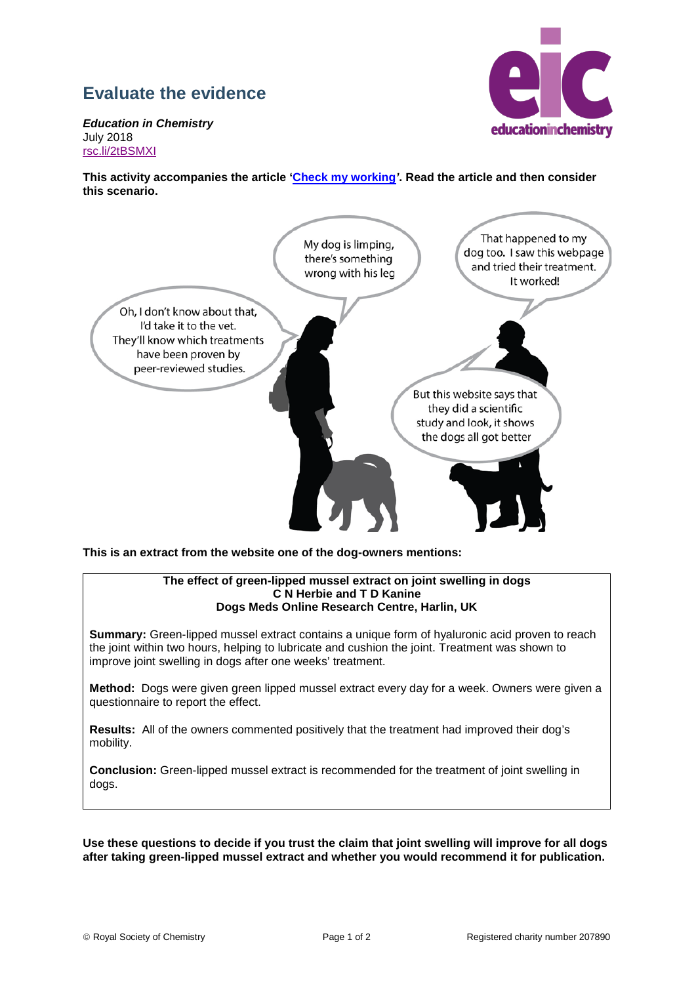## **Evaluate the evidence**



*Education in Chemistry* July 2018 [rsc.li/2tBSMXI](https://rsc.li/2tBSMXI)

**This activity accompanies the article 'Check my working***'***. Read the article and then consider this scenario.**



**This is an extract from the website one of the dog-owners mentions:**

## **The effect of green-lipped mussel extract on joint swelling in dogs C N Herbie and T D Kanine Dogs Meds Online Research Centre, Harlin, UK**

**Summary:** Green-lipped mussel extract contains a unique form of hyaluronic acid proven to reach the joint within two hours, helping to lubricate and cushion the joint. Treatment was shown to improve joint swelling in dogs after one weeks' treatment.

**Method:** Dogs were given green lipped mussel extract every day for a week. Owners were given a questionnaire to report the effect.

**Results:** All of the owners commented positively that the treatment had improved their dog's mobility.

**Conclusion:** Green-lipped mussel extract is recommended for the treatment of joint swelling in dogs.

**Use these questions to decide if you trust the claim that joint swelling will improve for all dogs after taking green-lipped mussel extract and whether you would recommend it for publication.**